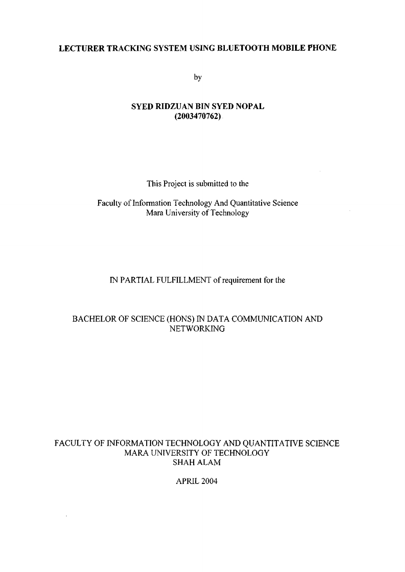### **LECTURER TRACKING SYSTEM USING BLUETOOTH MOBILE PHONE**

by

### **SYED RIDZUAN BIN SYED NOPAL (2003470762)**

This Project is submitted to the

### Faculty of Information Technology And Quantitative Science Mara University of Technology

### IN PARTIAL FULFILLMENT of requirement for the

### BACHELOR OF SCIENCE (HONS) IN DATA COMMUNICATION AND NETWORKING

### FACULTY OF INFORMATION TECHNOLOGY AND QUANTITATIVE SCIENCE MARA UNIVERSITY OF TECHNOLOGY SHAH ALAM

APRIL 2004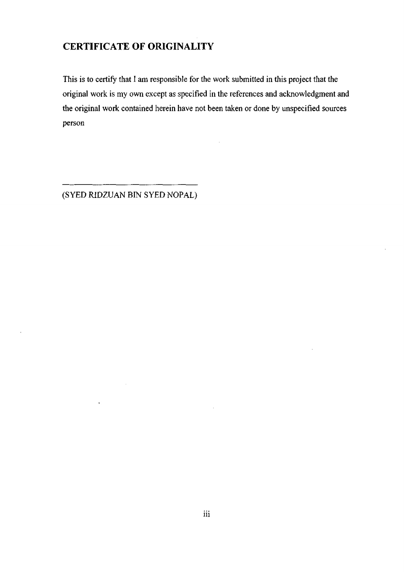# **CERTIFICATE OF ORIGINALITY**

This is to certify that I am responsible for the work submitted in this project that the original work is my own except as specified in the references and acknowledgment and the original work contained herein have not been taken or done by unspecified sources person

 $\bar{z}$ 

(SYED RIDZUAN BIN SYED NOPAL)

l,

l,

 $\mathcal{L}$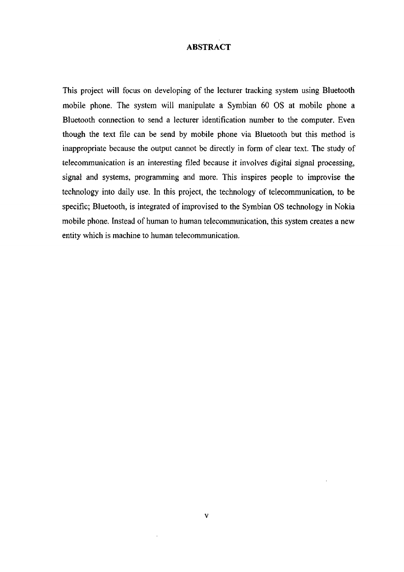#### **ABSTRACT**

This project will focus on developing of the lecturer tracking system using Bluetooth mobile phone. The system will manipulate a Symbian 60 OS at mobile phone a Bluetooth connection to send a lecturer identification number to the computer. Even though the text file can be send by mobile phone via Bluetooth but this method is inappropriate because the output cannot be directly in form of clear text. The study of telecommunication is an interesting filed because it involves digital signal processing, signal and systems, programming and more. This inspires people to improvise the technology into daily use. In this project, the technology of telecommunication, to be specific; Bluetooth, is integrated of improvised to the Symbian OS technology in Nokia mobile phone. Instead of human to human telecommunication, this system creates a new entity which is machine to human telecommunication.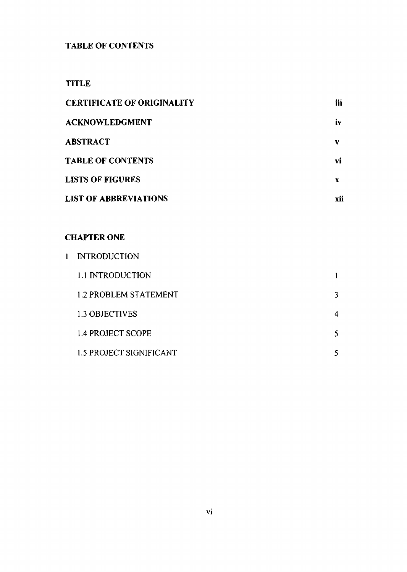## **TABLE OF CONTENTS**

## **TITLE**

| <b>CERTIFICATE OF ORIGINALITY</b> | iii |
|-----------------------------------|-----|
| <b>ACKNOWLEDGMENT</b>             | Ì۷  |
| <b>ABSTRACT</b>                   | v   |
| <b>TABLE OF CONTENTS</b>          | vì  |
| <b>LISTS OF FIGURES</b>           | х   |
| <b>LIST OF ABBREVIATIONS</b>      | xii |

## CHAPTER ONE

| <b>INTRODUCTION</b>          |    |
|------------------------------|----|
| 1.1 INTRODUCTION             |    |
| <b>1.2 PROBLEM STATEMENT</b> | 3. |
| 1.3 OBJECTIVES               | 4  |
| 1.4 PROJECT SCOPE            | 5  |
| 1.5 PROJECT SIGNIFICANT      | 5  |